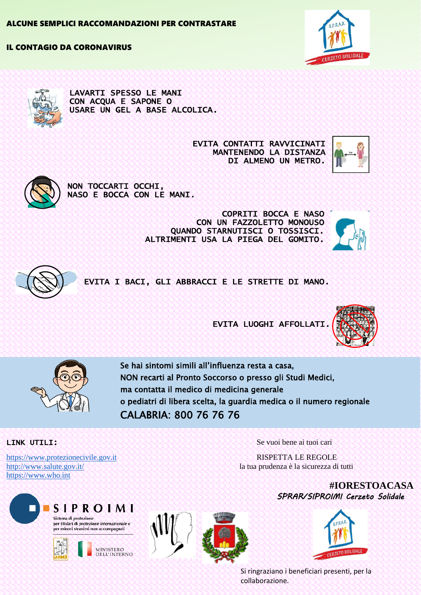## IL CONTAGIO DA CORONAVIRUS





LAVARTI SPESSO LE MANI CON ACQUA E SAPONE O USARE UN GEL A BASE ALCOLICA.

> EVITA CONTATTI RAVVICINATI MANTENENDO LA DISTANZA DI ALMENO UN METRO.





NON TOCCARTI OCCHI, NASO E BOCCA CON LE MANI.

> COPRITI BOCCA E NASO CON UN FAZZOLETTO MONOUSO QUANDO STARNUTISCI O TOSSISCI. ALTRIMENTI USA LA PIEGA DEL GOMITO.





EVITA I BACI, GLI ABBRACCI E LE STRETTE DI MANO.

EVITA LUOGHI AFFOLLATI.





Se hai sintomi simili all'influenza resta a casa, NON recarti al Pronto Soccorso o presso gli Studi Medici, ma contatta il medico di medicina generale o pediatri di libera scelta, la guardia medica o il numero regionale CALABRIA: 800 76 76 76

[https://www.protezionecivile.gov.it](https://www.protezionecivile.gov.it/) RISPETTA LE REGOLE [https://www.who.int](https://www.who.int/)







LINK UTILI: SE SE SE SE SE VUOI bene ai tuoi cari

<http://www.salute.gov.it/>la tua prudenza è la sicurezza di tutti

**#IORESTOACASA** *SPRAR/SIPROIMI Cerzeto Solidale*



Si ringraziano i beneficiari presenti, per la collaborazione.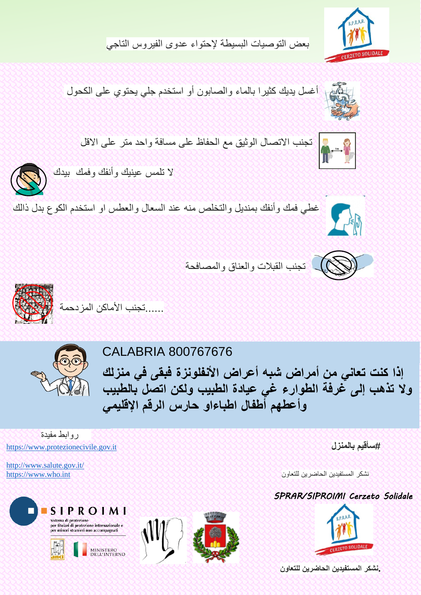

بعض التوصيات البسيطة إلحتواء عدوى الفيروس التاجي

أغسل يديك كثيرا بالماء والصابون أو استخدم جلي يحتوي على الكحول







تجنب القبالت والعناق والمصافحة





روابط مفيدة

Sistema di protezione<br>per titolari di protezione internazionale e<br>per minori stranieri non accompagnati

<http://www.salute.gov.it/>

## CALABRIA 800767676

**إذا كنت تعاني من أمراض شبه أعراض األنفلونزة فبقى في منزلك وال تذهب إلى غرفة الطوارء غي عيادة الطبيب ولكن اتصل بالطبيب وأعطهم أطفال اطباءاو حارس الرقم اإلقليمي**

[https://www.protezionecivile.gov.it](https://www.protezionecivile.gov.it/) **بالمنزل سأقيم#**

نشكر المستفيدين الحاضرين للتعاون حصحت كالمستفيدين التعاون حصحت كالتحصيل التعاون حصحت https://www.who.int

## *SPRAR/SIPROIMI Cerzeto Solidale*



**.نشكر المستفيدين الحاضرين للتعاون**